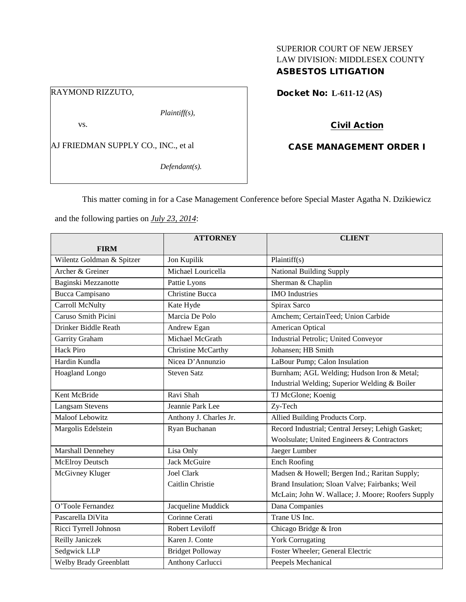## SUPERIOR COURT OF NEW JERSEY LAW DIVISION: MIDDLESEX COUNTY ASBESTOS LITIGATION

#### RAYMOND RIZZUTO,

*Plaintiff(s),*

vs.

AJ FRIEDMAN SUPPLY CO., INC., et al

*Defendant(s).*

Docket No: **L-611-12 (AS)** 

## Civil Action

## CASE MANAGEMENT ORDER I

This matter coming in for a Case Management Conference before Special Master Agatha N. Dzikiewicz

and the following parties on *July 23, 2014*:

|                               | <b>ATTORNEY</b>         | <b>CLIENT</b>                                     |
|-------------------------------|-------------------------|---------------------------------------------------|
| <b>FIRM</b>                   |                         |                                                   |
| Wilentz Goldman & Spitzer     | Jon Kupilik             | Plaintiff(s)                                      |
| Archer & Greiner              | Michael Louricella      | <b>National Building Supply</b>                   |
| Baginski Mezzanotte           | Pattie Lyons            | Sherman & Chaplin                                 |
| Bucca Campisano               | <b>Christine Bucca</b>  | <b>IMO</b> Industries                             |
| Carroll McNulty               | Kate Hyde               | Spirax Sarco                                      |
| Caruso Smith Picini           | Marcia De Polo          | Amchem; CertainTeed; Union Carbide                |
| Drinker Biddle Reath          | Andrew Egan             | American Optical                                  |
| Garrity Graham                | Michael McGrath         | Industrial Petrolic; United Conveyor              |
| <b>Hack Piro</b>              | Christine McCarthy      | Johansen; HB Smith                                |
| Hardin Kundla                 | Nicea D'Annunzio        | LaBour Pump; Calon Insulation                     |
| Hoagland Longo                | <b>Steven Satz</b>      | Burnham; AGL Welding; Hudson Iron & Metal;        |
|                               |                         | Industrial Welding; Superior Welding & Boiler     |
| Kent McBride                  | Ravi Shah               | TJ McGlone; Koenig                                |
| <b>Langsam Stevens</b>        | Jeannie Park Lee        | Zy-Tech                                           |
| <b>Maloof Lebowitz</b>        | Anthony J. Charles Jr.  | Allied Building Products Corp.                    |
| Margolis Edelstein            | Ryan Buchanan           | Record Industrial; Central Jersey; Lehigh Gasket; |
|                               |                         | Woolsulate; United Engineers & Contractors        |
| Marshall Dennehey             | Lisa Only               | Jaeger Lumber                                     |
| <b>McElroy Deutsch</b>        | <b>Jack McGuire</b>     | Ench Roofing                                      |
| McGivney Kluger               | <b>Joel Clark</b>       | Madsen & Howell; Bergen Ind.; Raritan Supply;     |
|                               | Caitlin Christie        | Brand Insulation; Sloan Valve; Fairbanks; Weil    |
|                               |                         | McLain; John W. Wallace; J. Moore; Roofers Supply |
| O'Toole Fernandez             | Jacqueline Muddick      | Dana Companies                                    |
| Pascarella DiVita             | Corinne Cerati          | Trane US Inc.                                     |
| Ricci Tyrrell Johnosn         | <b>Robert Leviloff</b>  | Chicago Bridge & Iron                             |
| Reilly Janiczek               | Karen J. Conte          | <b>York Corrugating</b>                           |
| Sedgwick LLP                  | <b>Bridget Polloway</b> | Foster Wheeler; General Electric                  |
| <b>Welby Brady Greenblatt</b> | Anthony Carlucci        | Peepels Mechanical                                |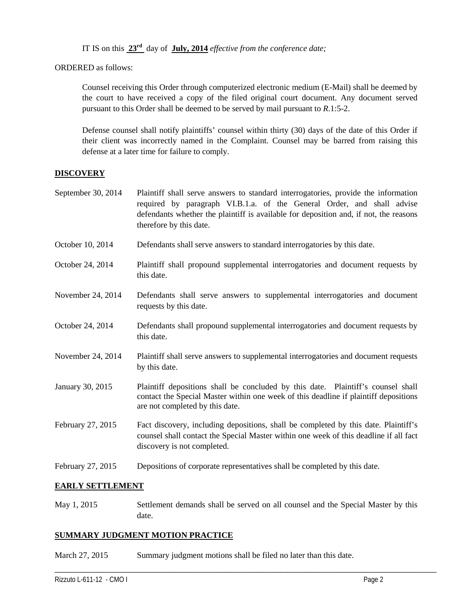IT IS on this **23rd** day of **July, 2014** *effective from the conference date;*

ORDERED as follows:

Counsel receiving this Order through computerized electronic medium (E-Mail) shall be deemed by the court to have received a copy of the filed original court document. Any document served pursuant to this Order shall be deemed to be served by mail pursuant to *R*.1:5-2.

Defense counsel shall notify plaintiffs' counsel within thirty (30) days of the date of this Order if their client was incorrectly named in the Complaint. Counsel may be barred from raising this defense at a later time for failure to comply.

### **DISCOVERY**

- September 30, 2014 Plaintiff shall serve answers to standard interrogatories, provide the information required by paragraph VI.B.1.a. of the General Order, and shall advise defendants whether the plaintiff is available for deposition and, if not, the reasons therefore by this date.
- October 10, 2014 Defendants shall serve answers to standard interrogatories by this date.
- October 24, 2014 Plaintiff shall propound supplemental interrogatories and document requests by this date.
- November 24, 2014 Defendants shall serve answers to supplemental interrogatories and document requests by this date.
- October 24, 2014 Defendants shall propound supplemental interrogatories and document requests by this date.
- November 24, 2014 Plaintiff shall serve answers to supplemental interrogatories and document requests by this date.
- January 30, 2015 Plaintiff depositions shall be concluded by this date. Plaintiff's counsel shall contact the Special Master within one week of this deadline if plaintiff depositions are not completed by this date.
- February 27, 2015 Fact discovery, including depositions, shall be completed by this date. Plaintiff's counsel shall contact the Special Master within one week of this deadline if all fact discovery is not completed.
- February 27, 2015 Depositions of corporate representatives shall be completed by this date.

#### **EARLY SETTLEMENT**

May 1, 2015 Settlement demands shall be served on all counsel and the Special Master by this date.

\_\_\_\_\_\_\_\_\_\_\_\_\_\_\_\_\_\_\_\_\_\_\_\_\_\_\_\_\_\_\_\_\_\_\_\_\_\_\_\_\_\_\_\_\_\_\_\_\_\_\_\_\_\_\_\_\_\_\_\_\_\_\_\_\_\_\_\_\_\_\_\_\_\_\_\_\_\_\_\_\_\_\_\_\_\_\_\_\_\_\_\_\_\_\_\_\_\_\_\_\_\_\_\_\_\_\_\_\_\_

## **SUMMARY JUDGMENT MOTION PRACTICE**

March 27, 2015 Summary judgment motions shall be filed no later than this date.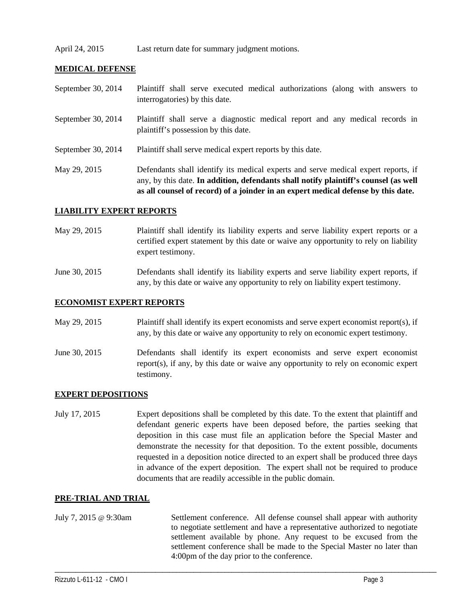### April 24, 2015 Last return date for summary judgment motions.

### **MEDICAL DEFENSE**

| September 30, 2014 | Plaintiff shall serve executed medical authorizations (along with answers to<br>interrogatories) by this date.                                                                                                                                                  |
|--------------------|-----------------------------------------------------------------------------------------------------------------------------------------------------------------------------------------------------------------------------------------------------------------|
| September 30, 2014 | Plaintiff shall serve a diagnostic medical report and any medical records in<br>plaintiff's possession by this date.                                                                                                                                            |
| September 30, 2014 | Plaintiff shall serve medical expert reports by this date.                                                                                                                                                                                                      |
| May 29, 2015       | Defendants shall identify its medical experts and serve medical expert reports, if<br>any, by this date. In addition, defendants shall notify plaintiff's counsel (as well<br>as all counsel of record) of a joinder in an expert medical defense by this date. |

#### **LIABILITY EXPERT REPORTS**

- May 29, 2015 Plaintiff shall identify its liability experts and serve liability expert reports or a certified expert statement by this date or waive any opportunity to rely on liability expert testimony.
- June 30, 2015 Defendants shall identify its liability experts and serve liability expert reports, if any, by this date or waive any opportunity to rely on liability expert testimony.

#### **ECONOMIST EXPERT REPORTS**

- May 29, 2015 Plaintiff shall identify its expert economists and serve expert economist report(s), if any, by this date or waive any opportunity to rely on economic expert testimony.
- June 30, 2015 Defendants shall identify its expert economists and serve expert economist report(s), if any, by this date or waive any opportunity to rely on economic expert testimony.

#### **EXPERT DEPOSITIONS**

July 17, 2015 Expert depositions shall be completed by this date. To the extent that plaintiff and defendant generic experts have been deposed before, the parties seeking that deposition in this case must file an application before the Special Master and demonstrate the necessity for that deposition. To the extent possible, documents requested in a deposition notice directed to an expert shall be produced three days in advance of the expert deposition. The expert shall not be required to produce documents that are readily accessible in the public domain.

#### **PRE-TRIAL AND TRIAL**

July 7, 2015 @ 9:30am Settlement conference. All defense counsel shall appear with authority to negotiate settlement and have a representative authorized to negotiate settlement available by phone. Any request to be excused from the settlement conference shall be made to the Special Master no later than 4:00pm of the day prior to the conference.

\_\_\_\_\_\_\_\_\_\_\_\_\_\_\_\_\_\_\_\_\_\_\_\_\_\_\_\_\_\_\_\_\_\_\_\_\_\_\_\_\_\_\_\_\_\_\_\_\_\_\_\_\_\_\_\_\_\_\_\_\_\_\_\_\_\_\_\_\_\_\_\_\_\_\_\_\_\_\_\_\_\_\_\_\_\_\_\_\_\_\_\_\_\_\_\_\_\_\_\_\_\_\_\_\_\_\_\_\_\_